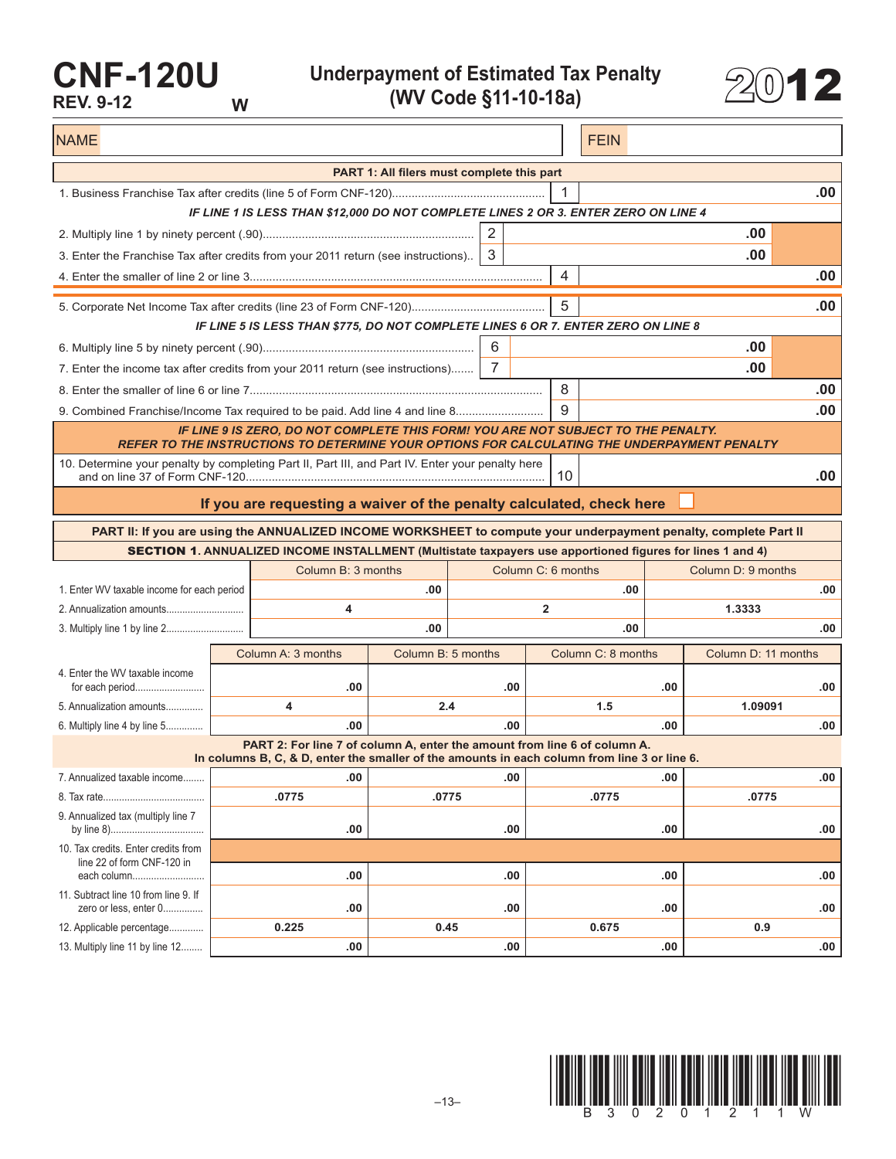## **CNF-120U REV. 9-12 W**

**Underpayment of Estimated Tax Penalty (WV Code §11-10-18a)** 2012



NAME FEIN AND RESERVE THE SERVE THAT IS A REPORT OF THE SERVE THAT IS A REPORT OF THE SERVE THAT IS A REPORT OF THE SERVE THAT IS A REPORT OF THE SERVE THAT IS A REPORT OF THE SERVE THAT IS A REPORT OF THE SERVE THAT IS A **PART 1: All filers must complete this part** 1. Business Franchise Tax after credits (line 5 of Form CNF-120)............................................... 1 **.00** *IF LINE 1 IS LESS THAN \$12,000 DO NOT COMPLETE LINES 2 OR 3. ENTER ZERO ON LINE 4* 2. Multiply line 1 by ninety percent (.90)................................................................. 2 **.00** 3. Enter the Franchise Tax after credits from your 2011 return (see instructions).. 3 **.00** 4. Enter the smaller of line 2 or line 3.......................................................................................... 4 **.00** 5. Corporate Net Income Tax after credits (line 23 of Form CNF-120)......................................... 5 **.00** *IF LINE 5 IS LESS THAN \$775, DO NOT COMPLETE LINES 6 OR 7. ENTER ZERO ON LINE 8* 6. Multiply line 5 by ninety percent (.90)................................................................. 6 **.00** 7. Enter the income tax after credits from your 2011 return (see instructions)....... 7 **.00** 8. Enter the smaller of line 6 or line 7.......................................................................................... 8 **.00** 9. Combined Franchise/Income Tax required to be paid. Add line 4 and line 8........................... 9 **.00** *IF LINE 9 IS ZERO, DO NOT COMPLETE THIS FORM! YOU ARE NOT SUBJECT TO THE PENALTY. REFER TO THE INSTRUCTIONS TO DETERMINE YOUR OPTIONS FOR CALCULATING THE UNDERPAYMENT PENALTY* 10. Determine your penalty by completing Part II, Part III, and Part IV. Enter your penalty here and on line 37 of Form CNF-120............................................................................................ 10 **.00 If you are requesting a waiver of the penalty calculated, check here PART II: If you are using the ANNUALIZED INCOME WORKSHEET to compute your underpayment penalty, complete Part II** SECTION 1**. ANNUALIZED INCOME INSTALLMENT (Multistate taxpayers use apportioned figures for lines 1 and 4)** Column B: 3 months Column C: 6 months Column D: 9 months 1. Enter WV taxable income for each period **.00 .00 .00** 2. Annualization amounts............................. **4 2 1.3333** 3. Multiply line 1 by line 2............................. **.00 .00 .00** Column A: 3 months Column B: 5 months Column C: 8 months Column D: 11 months 4. Enter the WV taxable income for each period.......................... **.00 .00 .00 .00** 5. Annualization amounts.............. **4 2.4 1.5 1.09091** 6. Multiply line 4 by line 5.............. **.00 .00 .00 .00 PART 2: For line 7 of column A, enter the amount from line 6 of column A. In columns B, C, & D, enter the smaller of the amounts in each column from line 3 or line 6.** 7. Annualized taxable income........ **.00 .00 .00 .00** 8. Tax rate...................................... **.0775 .0775 .0775 .0775** 9. Annualized tax (multiply line 7 by line 8)................................... **.00 .00 .00 .00** 10. Tax credits. Enter credits from line 22 of form CNF-120 in each column........................... **.00 .00 .00 .00** 11. Subtract line 10 from line 9. If zero or less, enter 0............... **.00 .00 .00 .00** 12. Applicable percentage............. **0.225 0.45 0.675 0.9** 13. Multiply line 11 by line 12........ **.00 .00 .00 .00**

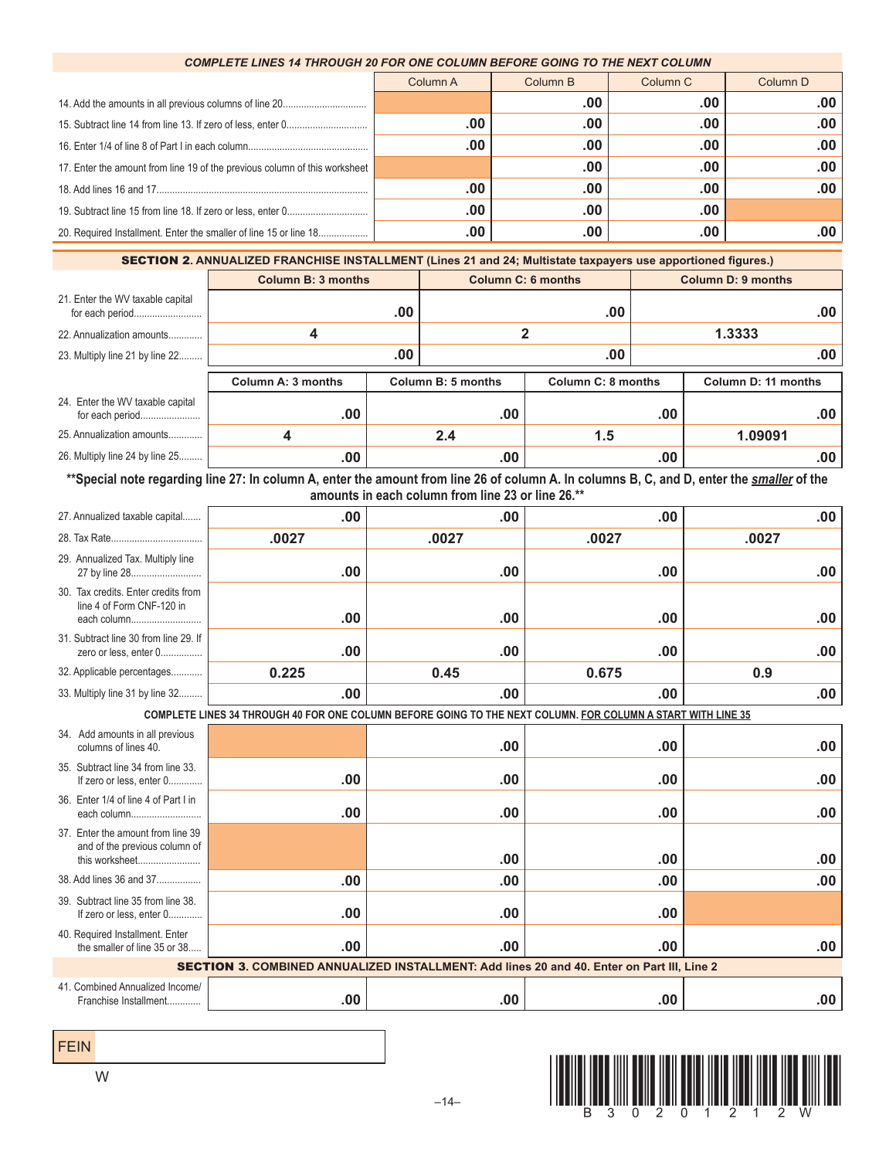## *COMPLETE LINES 14 THROUGH 20 FOR ONE COLUMN BEFORE GOING TO THE NEXT COLUMN*

|                                                                            | Column A | Column B | Column <sub>C</sub> | Column <sub>D</sub> |
|----------------------------------------------------------------------------|----------|----------|---------------------|---------------------|
|                                                                            |          | .00      | .00                 | .00                 |
|                                                                            | .00      | .00      | .00                 | .00                 |
|                                                                            | .00      | .00      | .00                 | .00                 |
| 17. Enter the amount from line 19 of the previous column of this worksheet |          | .00      | .00                 | .00                 |
|                                                                            | .00      | .00      | .00                 | .00                 |
|                                                                            | .00      | .00      | .00                 |                     |
|                                                                            | .00      | .00      | .00                 | .00                 |

SECTION 2**. ANNUALIZED FRANCHISE INSTALLMENT (Lines 21 and 24; Multistate taxpayers use apportioned figures.)**

|                                                     | <b>Column B: 3 months</b> |                    | <b>Column C: 6 months</b> |                    | <b>Column D: 9 months</b> |                     |     |
|-----------------------------------------------------|---------------------------|--------------------|---------------------------|--------------------|---------------------------|---------------------|-----|
| 21. Enter the WV taxable capital                    |                           | .00                |                           | .00                |                           |                     | .00 |
| 22. Annualization amounts                           | 4                         |                    | 2                         |                    | 1.3333                    |                     |     |
| 23. Multiply line 21 by line 22                     |                           | .00                |                           | .00                |                           |                     | .00 |
|                                                     | Column A: 3 months        | Column B: 5 months |                           | Column C: 8 months |                           | Column D: 11 months |     |
| 24. Enter the WV taxable capital<br>for each period | .00                       |                    | .00                       |                    | .00                       |                     | .00 |
| 25. Annualization amounts                           |                           |                    | 2.4                       | 1.5                |                           | 1.09091             |     |
| 26. Multiply line 24 by line 25                     | .00                       |                    | .00                       |                    | .00                       |                     | .00 |

\*\*Special note regarding line 27: In column A, enter the amount from line 26 of column A. In columns B, C, and D, enter the *smaller* of the **amounts in each column from line 23 or line 26.\*\***

| 27. Annualized taxable capital                                                                    | .00                                                                                                          | .00   | .00   | .00   |  |  |  |  |  |
|---------------------------------------------------------------------------------------------------|--------------------------------------------------------------------------------------------------------------|-------|-------|-------|--|--|--|--|--|
|                                                                                                   | .0027                                                                                                        | .0027 | .0027 | .0027 |  |  |  |  |  |
| 29. Annualized Tax. Multiply line                                                                 | .00                                                                                                          | .00   | .00   | .00   |  |  |  |  |  |
| 30. Tax credits. Enter credits from<br>line 4 of Form CNF-120 in<br>each column                   | .00                                                                                                          | .00   | .00   | .00   |  |  |  |  |  |
| 31. Subtract line 30 from line 29. If<br>zero or less, enter 0                                    | .00                                                                                                          | .00   | .00   | .00   |  |  |  |  |  |
| 32. Applicable percentages                                                                        | 0.225                                                                                                        | 0.45  | 0.675 | 0.9   |  |  |  |  |  |
| 33. Multiply line 31 by line 32                                                                   | .00                                                                                                          | .00   | .00   | .00   |  |  |  |  |  |
|                                                                                                   | COMPLETE LINES 34 THROUGH 40 FOR ONE COLUMN BEFORE GOING TO THE NEXT COLUMN. FOR COLUMN A START WITH LINE 35 |       |       |       |  |  |  |  |  |
| 34. Add amounts in all previous<br>columns of lines 40.                                           |                                                                                                              | .00   | .00   | .00   |  |  |  |  |  |
| 35. Subtract line 34 from line 33.<br>If zero or less, enter 0                                    | .00                                                                                                          | .00   | .00   | .00   |  |  |  |  |  |
| 36. Enter 1/4 of line 4 of Part I in<br>each column                                               | .00                                                                                                          | .00   | .00   | .00   |  |  |  |  |  |
| 37. Enter the amount from line 39<br>and of the previous column of<br>this worksheet              |                                                                                                              | .00   | .00   | .00   |  |  |  |  |  |
| 38. Add lines 36 and 37                                                                           | .00                                                                                                          | .00   | .00   | .00   |  |  |  |  |  |
| 39. Subtract line 35 from line 38.<br>If zero or less, enter 0                                    | .00                                                                                                          | .00   | .00   |       |  |  |  |  |  |
| 40. Required Installment. Enter<br>the smaller of line 35 or 38                                   | .00                                                                                                          | .00   | .00   | .00   |  |  |  |  |  |
| <b>SECTION 3. COMBINED ANNUALIZED INSTALLMENT: Add lines 20 and 40. Enter on Part III, Line 2</b> |                                                                                                              |       |       |       |  |  |  |  |  |
| 41. Combined Annualized Income/<br>Franchise Installment                                          | .00                                                                                                          | .00   | .00   | .00   |  |  |  |  |  |

FEIN



W